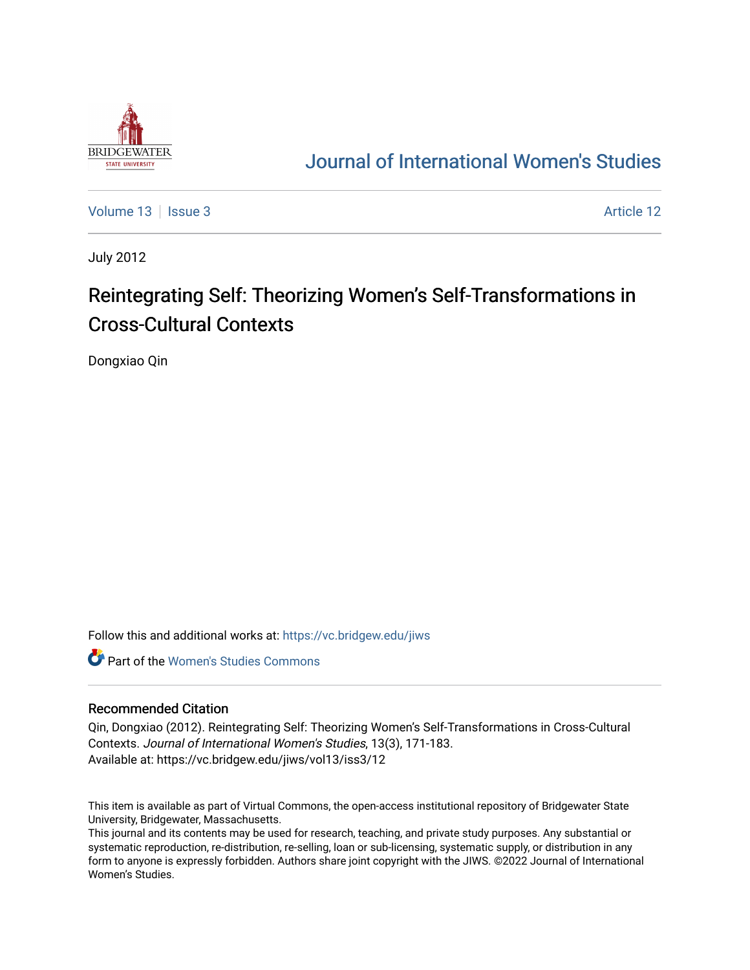

## [Journal of International Women's Studies](https://vc.bridgew.edu/jiws)

[Volume 13](https://vc.bridgew.edu/jiws/vol13) | [Issue 3](https://vc.bridgew.edu/jiws/vol13/iss3) Article 12

July 2012

# Reintegrating Self: Theorizing Women's Self-Transformations in Cross-Cultural Contexts

Dongxiao Qin

Follow this and additional works at: [https://vc.bridgew.edu/jiws](https://vc.bridgew.edu/jiws?utm_source=vc.bridgew.edu%2Fjiws%2Fvol13%2Fiss3%2F12&utm_medium=PDF&utm_campaign=PDFCoverPages)

**C** Part of the Women's Studies Commons

#### Recommended Citation

Qin, Dongxiao (2012). Reintegrating Self: Theorizing Women's Self-Transformations in Cross-Cultural Contexts. Journal of International Women's Studies, 13(3), 171-183. Available at: https://vc.bridgew.edu/jiws/vol13/iss3/12

This item is available as part of Virtual Commons, the open-access institutional repository of Bridgewater State University, Bridgewater, Massachusetts.

This journal and its contents may be used for research, teaching, and private study purposes. Any substantial or systematic reproduction, re-distribution, re-selling, loan or sub-licensing, systematic supply, or distribution in any form to anyone is expressly forbidden. Authors share joint copyright with the JIWS. ©2022 Journal of International Women's Studies.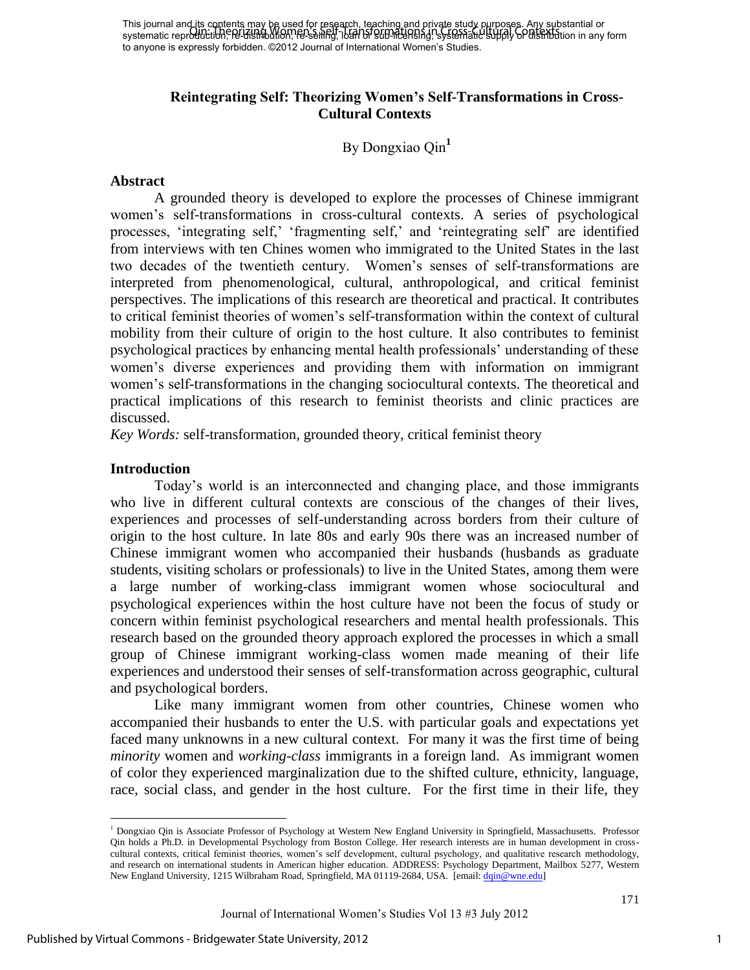## **Reintegrating Self: Theorizing Women's Self-Transformations in Cross-Cultural Contexts**

By Dongxiao Qin**<sup>1</sup>**

#### **Abstract**

A grounded theory is developed to explore the processes of Chinese immigrant women"s self-transformations in cross-cultural contexts. A series of psychological processes, 'integrating self,' 'fragmenting self,' and 'reintegrating self' are identified from interviews with ten Chines women who immigrated to the United States in the last two decades of the twentieth century. Women"s senses of self-transformations are interpreted from phenomenological, cultural, anthropological, and critical feminist perspectives. The implications of this research are theoretical and practical. It contributes to critical feminist theories of women"s self-transformation within the context of cultural mobility from their culture of origin to the host culture. It also contributes to feminist psychological practices by enhancing mental health professionals" understanding of these women"s diverse experiences and providing them with information on immigrant women"s self-transformations in the changing sociocultural contexts. The theoretical and practical implications of this research to feminist theorists and clinic practices are discussed.

*Key Words:* self-transformation, grounded theory, critical feminist theory

## **Introduction**

 $\overline{a}$ 

Today"s world is an interconnected and changing place, and those immigrants who live in different cultural contexts are conscious of the changes of their lives, experiences and processes of self-understanding across borders from their culture of origin to the host culture. In late 80s and early 90s there was an increased number of Chinese immigrant women who accompanied their husbands (husbands as graduate students, visiting scholars or professionals) to live in the United States, among them were a large number of working-class immigrant women whose sociocultural and psychological experiences within the host culture have not been the focus of study or concern within feminist psychological researchers and mental health professionals. This research based on the grounded theory approach explored the processes in which a small group of Chinese immigrant working-class women made meaning of their life experiences and understood their senses of self-transformation across geographic, cultural and psychological borders.

Like many immigrant women from other countries, Chinese women who accompanied their husbands to enter the U.S. with particular goals and expectations yet faced many unknowns in a new cultural context. For many it was the first time of being *minority* women and *working-class* immigrants in a foreign land. As immigrant women of color they experienced marginalization due to the shifted culture, ethnicity, language, race, social class, and gender in the host culture. For the first time in their life, they

<sup>&</sup>lt;sup>1</sup> Dongxiao Qin is Associate Professor of Psychology at Western New England University in Springfield, Massachusetts. Professor Qin holds a Ph.D. in Developmental Psychology from Boston College. Her research interests are in human development in crosscultural contexts, critical feminist theories, women"s self development, cultural psychology, and qualitative research methodology, and research on international students in American higher education. ADDRESS: Psychology Department, Mailbox 5277, Western New England University, 1215 Wilbraham Road, Springfield, MA 01119-2684, USA. [email[: dqin@wne.edu\]](mailto:dqin@wne.edu)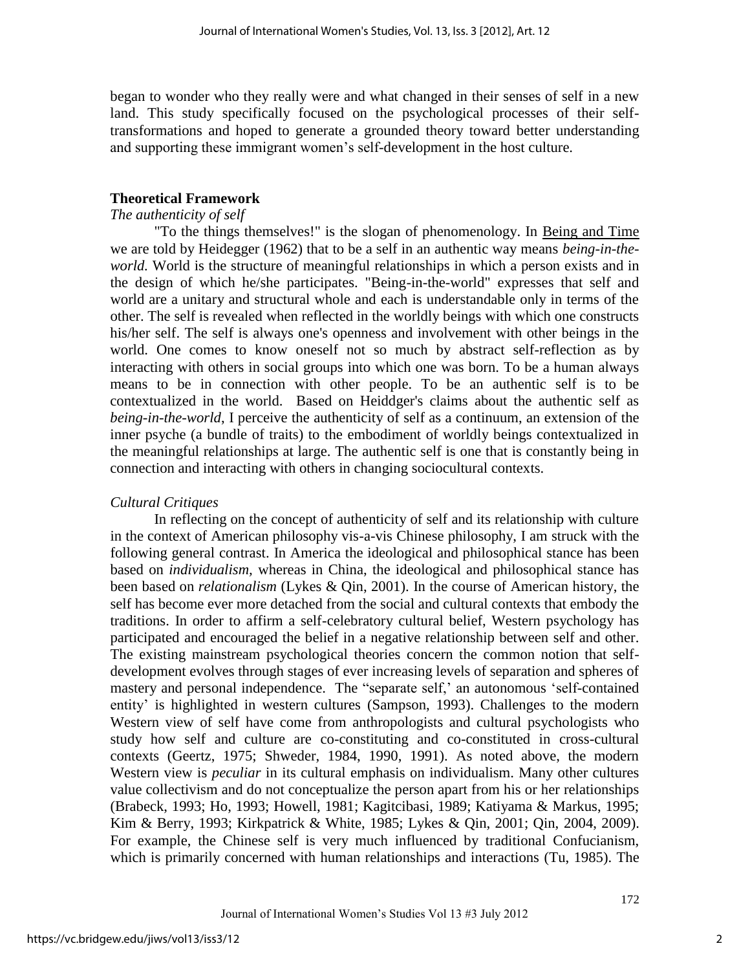began to wonder who they really were and what changed in their senses of self in a new land. This study specifically focused on the psychological processes of their selftransformations and hoped to generate a grounded theory toward better understanding and supporting these immigrant women"s self-development in the host culture.

## **Theoretical Framework**

## *The authenticity of self*

"To the things themselves!" is the slogan of phenomenology. In Being and Time we are told by Heidegger (1962) that to be a self in an authentic way means *being-in-theworld.* World is the structure of meaningful relationships in which a person exists and in the design of which he/she participates. "Being-in-the-world" expresses that self and world are a unitary and structural whole and each is understandable only in terms of the other. The self is revealed when reflected in the worldly beings with which one constructs his/her self. The self is always one's openness and involvement with other beings in the world. One comes to know oneself not so much by abstract self-reflection as by interacting with others in social groups into which one was born. To be a human always means to be in connection with other people. To be an authentic self is to be contextualized in the world. Based on Heiddger's claims about the authentic self as *being-in-the-world*, I perceive the authenticity of self as a continuum, an extension of the inner psyche (a bundle of traits) to the embodiment of worldly beings contextualized in the meaningful relationships at large. The authentic self is one that is constantly being in connection and interacting with others in changing sociocultural contexts.

## *Cultural Critiques*

In reflecting on the concept of authenticity of self and its relationship with culture in the context of American philosophy vis-a-vis Chinese philosophy, I am struck with the following general contrast. In America the ideological and philosophical stance has been based on *individualism,* whereas in China, the ideological and philosophical stance has been based on *relationalism* (Lykes & Qin, 2001). In the course of American history, the self has become ever more detached from the social and cultural contexts that embody the traditions. In order to affirm a self-celebratory cultural belief, Western psychology has participated and encouraged the belief in a negative relationship between self and other. The existing mainstream psychological theories concern the common notion that selfdevelopment evolves through stages of ever increasing levels of separation and spheres of mastery and personal independence. The "separate self," an autonomous 'self-contained entity' is highlighted in western cultures (Sampson, 1993). Challenges to the modern Western view of self have come from anthropologists and cultural psychologists who study how self and culture are co-constituting and co-constituted in cross-cultural contexts (Geertz, 1975; Shweder, 1984, 1990, 1991). As noted above, the modern Western view is *peculiar* in its cultural emphasis on individualism. Many other cultures value collectivism and do not conceptualize the person apart from his or her relationships (Brabeck, 1993; Ho, 1993; Howell, 1981; Kagitcibasi, 1989; Katiyama & Markus, 1995; Kim & Berry, 1993; Kirkpatrick & White, 1985; Lykes & Qin, 2001; Qin, 2004, 2009). For example, the Chinese self is very much influenced by traditional Confucianism, which is primarily concerned with human relationships and interactions (Tu, 1985). The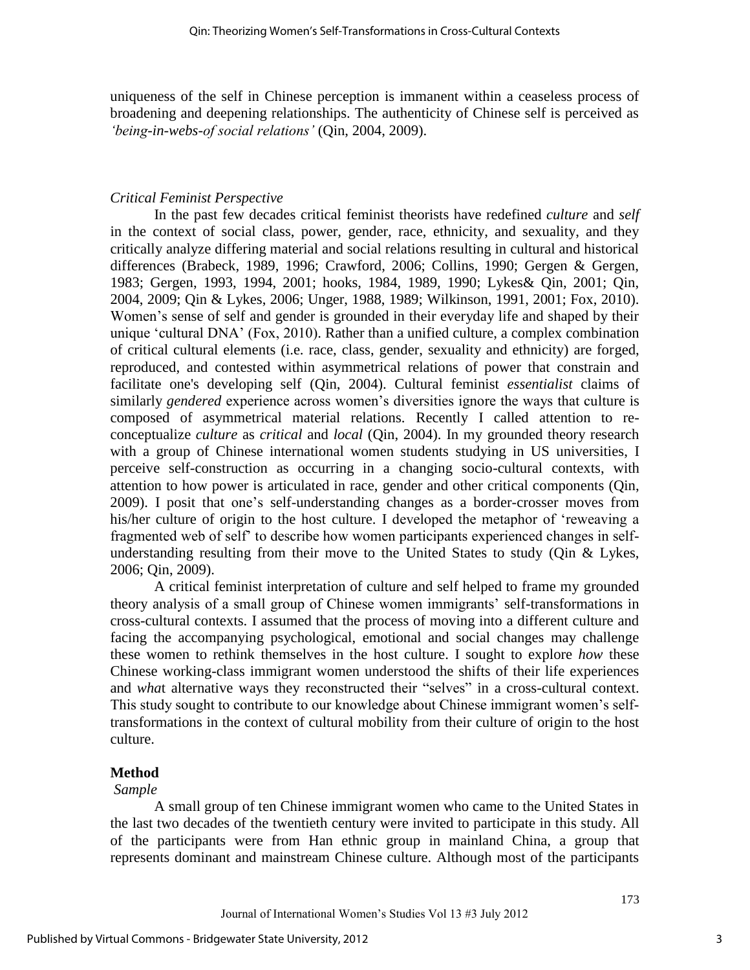uniqueness of the self in Chinese perception is immanent within a ceaseless process of broadening and deepening relationships. The authenticity of Chinese self is perceived as *'being-in-webs-of social relations'* (Qin, 2004, 2009).

## *Critical Feminist Perspective*

In the past few decades critical feminist theorists have redefined *culture* and *self*  in the context of social class, power, gender, race, ethnicity, and sexuality, and they critically analyze differing material and social relations resulting in cultural and historical differences (Brabeck, 1989, 1996; Crawford, 2006; Collins, 1990; Gergen & Gergen, 1983; Gergen, 1993, 1994, 2001; hooks, 1984, 1989, 1990; Lykes& Qin, 2001; Qin, 2004, 2009; Qin & Lykes, 2006; Unger, 1988, 1989; Wilkinson, 1991, 2001; Fox, 2010). Women's sense of self and gender is grounded in their everyday life and shaped by their unique "cultural DNA" (Fox, 2010). Rather than a unified culture, a complex combination of critical cultural elements (i.e. race, class, gender, sexuality and ethnicity) are forged, reproduced, and contested within asymmetrical relations of power that constrain and facilitate one's developing self (Qin, 2004). Cultural feminist *essentialist* claims of similarly *gendered* experience across women's diversities ignore the ways that culture is composed of asymmetrical material relations. Recently I called attention to reconceptualize *culture* as *critical* and *local* (Qin, 2004). In my grounded theory research with a group of Chinese international women students studying in US universities, I perceive self-construction as occurring in a changing socio-cultural contexts, with attention to how power is articulated in race, gender and other critical components (Qin, 2009). I posit that one"s self-understanding changes as a border-crosser moves from his/her culture of origin to the host culture. I developed the metaphor of "reweaving a fragmented web of self" to describe how women participants experienced changes in selfunderstanding resulting from their move to the United States to study (Qin & Lykes, 2006; Qin, 2009).

A critical feminist interpretation of culture and self helped to frame my grounded theory analysis of a small group of Chinese women immigrants" self-transformations in cross-cultural contexts. I assumed that the process of moving into a different culture and facing the accompanying psychological, emotional and social changes may challenge these women to rethink themselves in the host culture. I sought to explore *how* these Chinese working-class immigrant women understood the shifts of their life experiences and *wha*t alternative ways they reconstructed their "selves" in a cross-cultural context. This study sought to contribute to our knowledge about Chinese immigrant women"s selftransformations in the context of cultural mobility from their culture of origin to the host culture.

## **Method**

#### *Sample*

A small group of ten Chinese immigrant women who came to the United States in the last two decades of the twentieth century were invited to participate in this study. All of the participants were from Han ethnic group in mainland China, a group that represents dominant and mainstream Chinese culture. Although most of the participants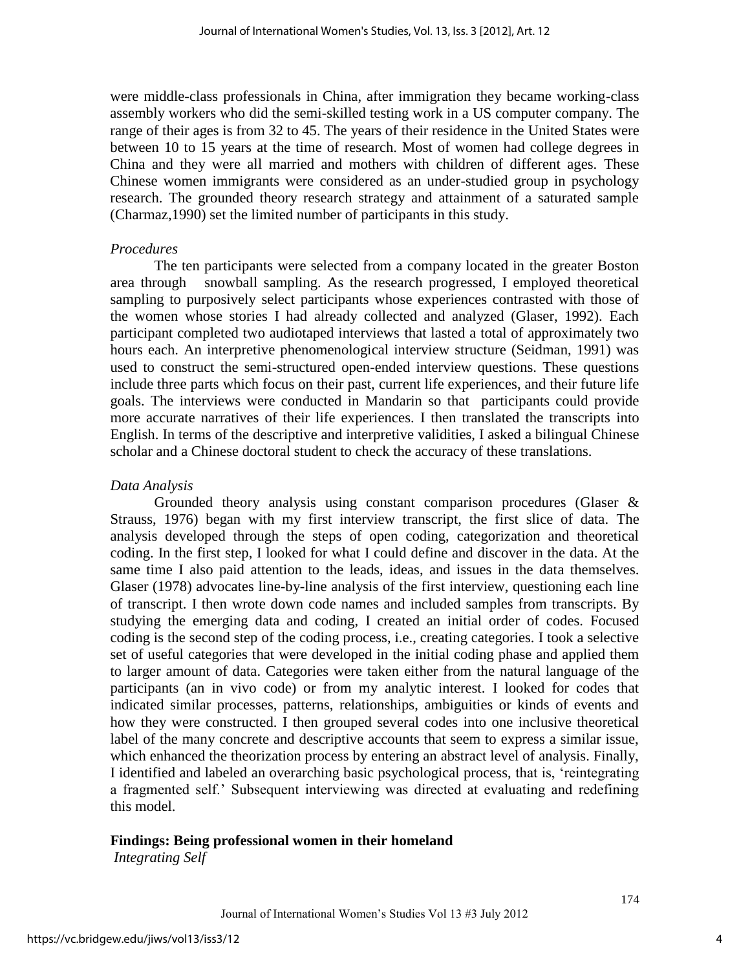were middle-class professionals in China, after immigration they became working-class assembly workers who did the semi-skilled testing work in a US computer company. The range of their ages is from 32 to 45. The years of their residence in the United States were between 10 to 15 years at the time of research. Most of women had college degrees in China and they were all married and mothers with children of different ages. These Chinese women immigrants were considered as an under-studied group in psychology research. The grounded theory research strategy and attainment of a saturated sample (Charmaz,1990) set the limited number of participants in this study.

#### *Procedures*

The ten participants were selected from a company located in the greater Boston area through snowball sampling. As the research progressed, I employed theoretical sampling to purposively select participants whose experiences contrasted with those of the women whose stories I had already collected and analyzed (Glaser, 1992). Each participant completed two audiotaped interviews that lasted a total of approximately two hours each. An interpretive phenomenological interview structure (Seidman, 1991) was used to construct the semi-structured open-ended interview questions. These questions include three parts which focus on their past, current life experiences, and their future life goals. The interviews were conducted in Mandarin so that participants could provide more accurate narratives of their life experiences. I then translated the transcripts into English. In terms of the descriptive and interpretive validities, I asked a bilingual Chinese scholar and a Chinese doctoral student to check the accuracy of these translations.

## *Data Analysis*

Grounded theory analysis using constant comparison procedures (Glaser  $\&$ Strauss, 1976) began with my first interview transcript, the first slice of data. The analysis developed through the steps of open coding, categorization and theoretical coding. In the first step, I looked for what I could define and discover in the data. At the same time I also paid attention to the leads, ideas, and issues in the data themselves. Glaser (1978) advocates line-by-line analysis of the first interview, questioning each line of transcript. I then wrote down code names and included samples from transcripts. By studying the emerging data and coding, I created an initial order of codes. Focused coding is the second step of the coding process, i.e., creating categories. I took a selective set of useful categories that were developed in the initial coding phase and applied them to larger amount of data. Categories were taken either from the natural language of the participants (an in vivo code) or from my analytic interest. I looked for codes that indicated similar processes, patterns, relationships, ambiguities or kinds of events and how they were constructed. I then grouped several codes into one inclusive theoretical label of the many concrete and descriptive accounts that seem to express a similar issue, which enhanced the theorization process by entering an abstract level of analysis. Finally, I identified and labeled an overarching basic psychological process, that is, "reintegrating a fragmented self." Subsequent interviewing was directed at evaluating and redefining this model.

## **Findings: Being professional women in their homeland**

*Integrating Self*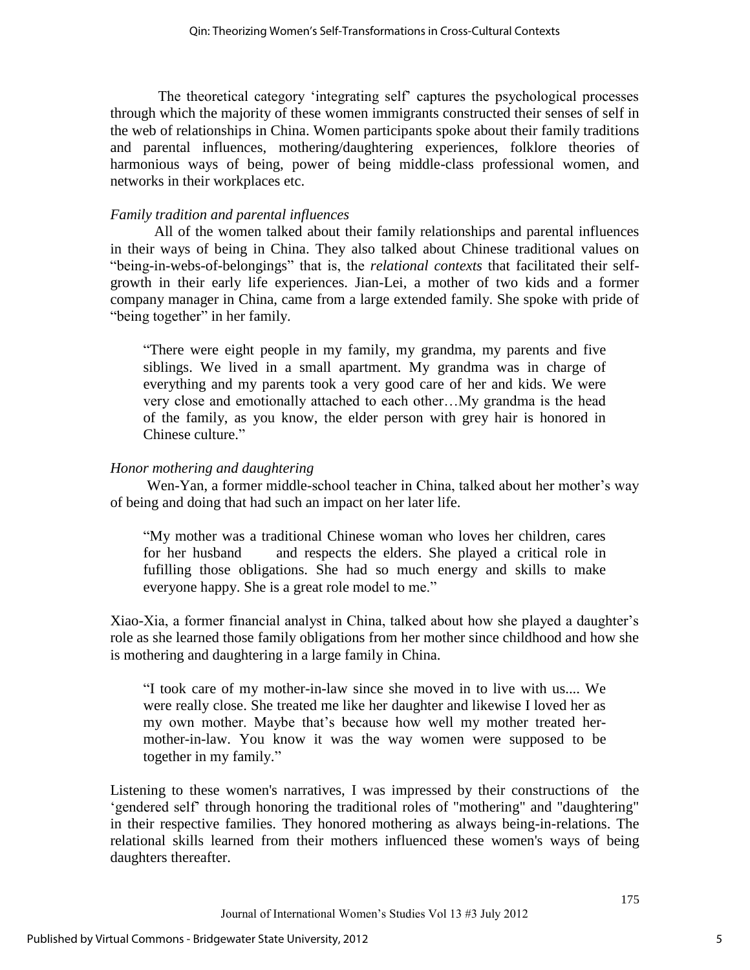The theoretical category "integrating self" captures the psychological processes through which the majority of these women immigrants constructed their senses of self in the web of relationships in China. Women participants spoke about their family traditions and parental influences, mothering/daughtering experiences, folklore theories of harmonious ways of being, power of being middle-class professional women, and networks in their workplaces etc.

## *Family tradition and parental influences*

All of the women talked about their family relationships and parental influences in their ways of being in China. They also talked about Chinese traditional values on "being-in-webs-of-belongings" that is, the *relational contexts* that facilitated their selfgrowth in their early life experiences. Jian-Lei, a mother of two kids and a former company manager in China, came from a large extended family. She spoke with pride of "being together" in her family.

"There were eight people in my family, my grandma, my parents and five siblings. We lived in a small apartment. My grandma was in charge of everything and my parents took a very good care of her and kids. We were very close and emotionally attached to each other…My grandma is the head of the family, as you know, the elder person with grey hair is honored in Chinese culture."

## *Honor mothering and daughtering*

Wen-Yan, a former middle-school teacher in China, talked about her mother's way of being and doing that had such an impact on her later life.

"My mother was a traditional Chinese woman who loves her children, cares for her husband and respects the elders. She played a critical role in fufilling those obligations. She had so much energy and skills to make everyone happy. She is a great role model to me."

Xiao-Xia, a former financial analyst in China, talked about how she played a daughter"s role as she learned those family obligations from her mother since childhood and how she is mothering and daughtering in a large family in China.

"I took care of my mother-in-law since she moved in to live with us.... We were really close. She treated me like her daughter and likewise I loved her as my own mother. Maybe that"s because how well my mother treated hermother-in-law. You know it was the way women were supposed to be together in my family."

Listening to these women's narratives, I was impressed by their constructions of the "gendered self" through honoring the traditional roles of "mothering" and "daughtering" in their respective families. They honored mothering as always being-in-relations. The relational skills learned from their mothers influenced these women's ways of being daughters thereafter.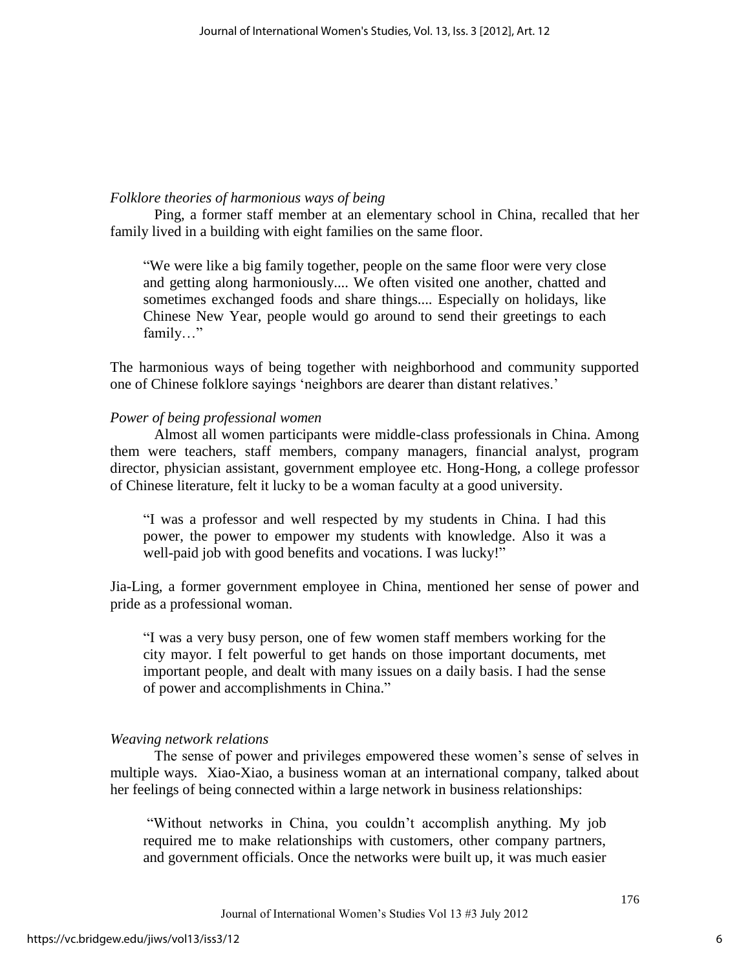#### *Folklore theories of harmonious ways of being*

Ping, a former staff member at an elementary school in China, recalled that her family lived in a building with eight families on the same floor.

"We were like a big family together, people on the same floor were very close and getting along harmoniously.... We often visited one another, chatted and sometimes exchanged foods and share things.... Especially on holidays, like Chinese New Year, people would go around to send their greetings to each family…"

The harmonious ways of being together with neighborhood and community supported one of Chinese folklore sayings "neighbors are dearer than distant relatives."

#### *Power of being professional women*

Almost all women participants were middle-class professionals in China. Among them were teachers, staff members, company managers, financial analyst, program director, physician assistant, government employee etc. Hong-Hong, a college professor of Chinese literature, felt it lucky to be a woman faculty at a good university.

"I was a professor and well respected by my students in China. I had this power, the power to empower my students with knowledge. Also it was a well-paid job with good benefits and vocations. I was lucky!"

Jia-Ling, a former government employee in China, mentioned her sense of power and pride as a professional woman.

"I was a very busy person, one of few women staff members working for the city mayor. I felt powerful to get hands on those important documents, met important people, and dealt with many issues on a daily basis. I had the sense of power and accomplishments in China."

#### *Weaving network relations*

The sense of power and privileges empowered these women"s sense of selves in multiple ways. Xiao-Xiao, a business woman at an international company, talked about her feelings of being connected within a large network in business relationships:

"Without networks in China, you couldn"t accomplish anything. My job required me to make relationships with customers, other company partners, and government officials. Once the networks were built up, it was much easier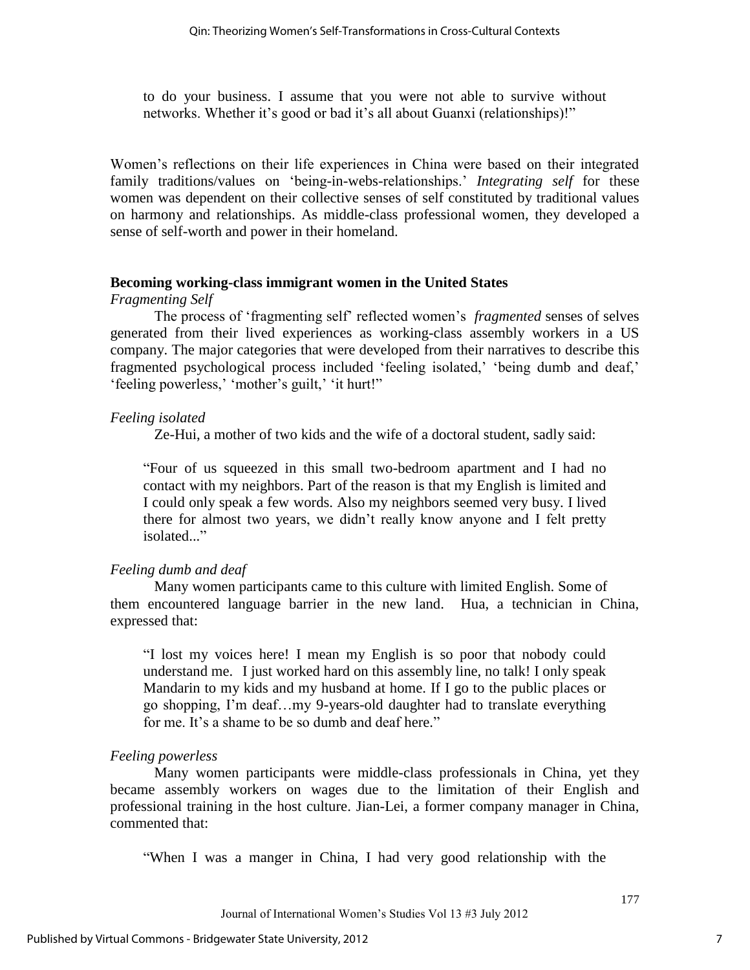to do your business. I assume that you were not able to survive without networks. Whether it's good or bad it's all about Guanxi (relationships)!"

Women"s reflections on their life experiences in China were based on their integrated family traditions/values on "being-in-webs-relationships." *Integrating self* for these women was dependent on their collective senses of self constituted by traditional values on harmony and relationships. As middle-class professional women, they developed a sense of self-worth and power in their homeland.

## **Becoming working-class immigrant women in the United States**

*Fragmenting Self*

The process of "fragmenting self" reflected women"s *fragmented* senses of selves generated from their lived experiences as working-class assembly workers in a US company. The major categories that were developed from their narratives to describe this fragmented psychological process included 'feeling isolated,' 'being dumb and deaf,' "feeling powerless," "mother's guilt," it hurt!"

## *Feeling isolated*

Ze-Hui, a mother of two kids and the wife of a doctoral student, sadly said:

"Four of us squeezed in this small two-bedroom apartment and I had no contact with my neighbors. Part of the reason is that my English is limited and I could only speak a few words. Also my neighbors seemed very busy. I lived there for almost two years, we didn"t really know anyone and I felt pretty isolated..."

## *Feeling dumb and deaf*

Many women participants came to this culture with limited English. Some of them encountered language barrier in the new land. Hua, a technician in China, expressed that:

"I lost my voices here! I mean my English is so poor that nobody could understand me. I just worked hard on this assembly line, no talk! I only speak Mandarin to my kids and my husband at home. If I go to the public places or go shopping, I"m deaf…my 9-years-old daughter had to translate everything for me. It's a shame to be so dumb and deaf here."

## *Feeling powerless*

Many women participants were middle-class professionals in China, yet they became assembly workers on wages due to the limitation of their English and professional training in the host culture. Jian-Lei, a former company manager in China, commented that:

"When I was a manger in China, I had very good relationship with the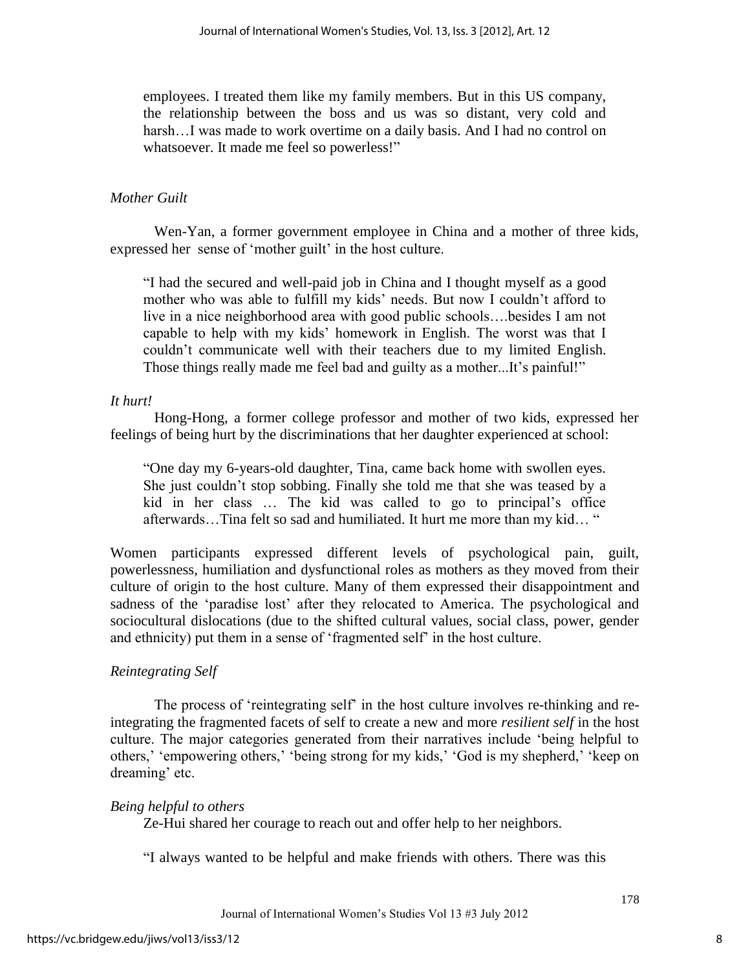employees. I treated them like my family members. But in this US company, the relationship between the boss and us was so distant, very cold and harsh…I was made to work overtime on a daily basis. And I had no control on whatsoever. It made me feel so powerless!"

## *Mother Guilt*

Wen-Yan, a former government employee in China and a mother of three kids, expressed her sense of 'mother guilt' in the host culture.

"I had the secured and well-paid job in China and I thought myself as a good mother who was able to fulfill my kids' needs. But now I couldn't afford to live in a nice neighborhood area with good public schools….besides I am not capable to help with my kids" homework in English. The worst was that I couldn"t communicate well with their teachers due to my limited English. Those things really made me feel bad and guilty as a mother...It's painful!"

## *It hurt!*

Hong-Hong, a former college professor and mother of two kids, expressed her feelings of being hurt by the discriminations that her daughter experienced at school:

"One day my 6-years-old daughter, Tina, came back home with swollen eyes. She just couldn"t stop sobbing. Finally she told me that she was teased by a kid in her class … The kid was called to go to principal"s office afterwards…Tina felt so sad and humiliated. It hurt me more than my kid… "

Women participants expressed different levels of psychological pain, guilt, powerlessness, humiliation and dysfunctional roles as mothers as they moved from their culture of origin to the host culture. Many of them expressed their disappointment and sadness of the "paradise lost" after they relocated to America. The psychological and sociocultural dislocations (due to the shifted cultural values, social class, power, gender and ethnicity) put them in a sense of "fragmented self" in the host culture.

## *Reintegrating Self*

The process of "reintegrating self" in the host culture involves re-thinking and reintegrating the fragmented facets of self to create a new and more *resilient self* in the host culture. The major categories generated from their narratives include "being helpful to others,' 'empowering others,' 'being strong for my kids,' 'God is my shepherd,' 'keep on dreaming' etc.

## *Being helpful to others*

Ze-Hui shared her courage to reach out and offer help to her neighbors.

"I always wanted to be helpful and make friends with others. There was this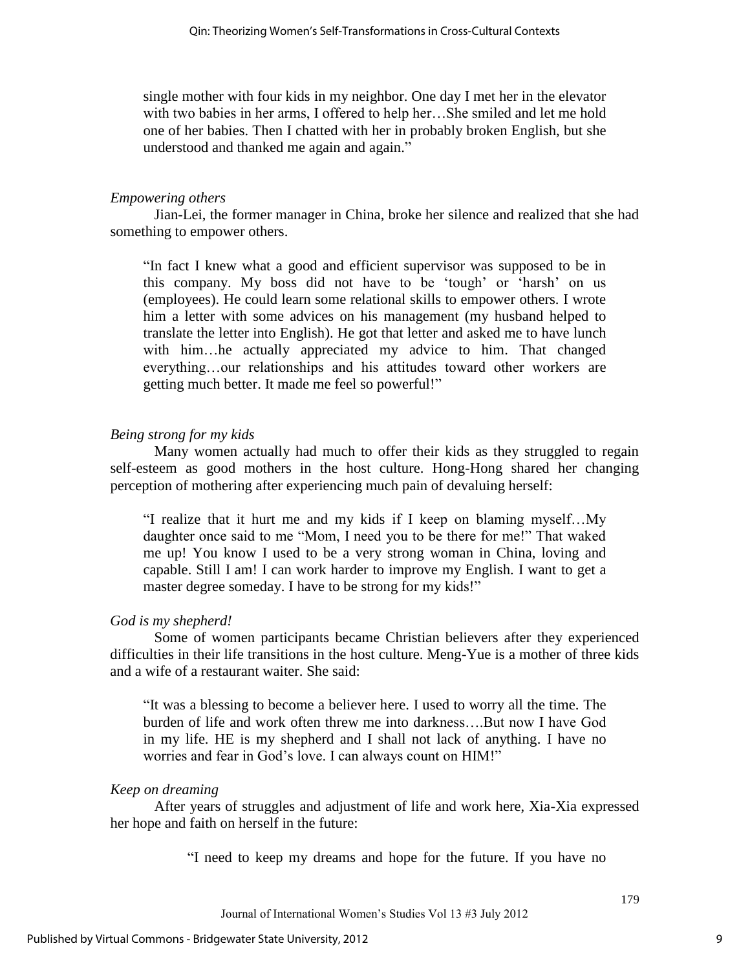single mother with four kids in my neighbor. One day I met her in the elevator with two babies in her arms, I offered to help her…She smiled and let me hold one of her babies. Then I chatted with her in probably broken English, but she understood and thanked me again and again."

## *Empowering others*

Jian-Lei, the former manager in China, broke her silence and realized that she had something to empower others.

"In fact I knew what a good and efficient supervisor was supposed to be in this company. My boss did not have to be "tough" or "harsh" on us (employees). He could learn some relational skills to empower others. I wrote him a letter with some advices on his management (my husband helped to translate the letter into English). He got that letter and asked me to have lunch with him…he actually appreciated my advice to him. That changed everything…our relationships and his attitudes toward other workers are getting much better. It made me feel so powerful!"

## *Being strong for my kids*

Many women actually had much to offer their kids as they struggled to regain self-esteem as good mothers in the host culture. Hong-Hong shared her changing perception of mothering after experiencing much pain of devaluing herself:

"I realize that it hurt me and my kids if I keep on blaming myself…My daughter once said to me "Mom, I need you to be there for me!" That waked me up! You know I used to be a very strong woman in China, loving and capable. Still I am! I can work harder to improve my English. I want to get a master degree someday. I have to be strong for my kids!"

## *God is my shepherd!*

Some of women participants became Christian believers after they experienced difficulties in their life transitions in the host culture. Meng-Yue is a mother of three kids and a wife of a restaurant waiter. She said:

"It was a blessing to become a believer here. I used to worry all the time. The burden of life and work often threw me into darkness….But now I have God in my life. HE is my shepherd and I shall not lack of anything. I have no worries and fear in God"s love. I can always count on HIM!"

## *Keep on dreaming*

After years of struggles and adjustment of life and work here, Xia-Xia expressed her hope and faith on herself in the future:

"I need to keep my dreams and hope for the future. If you have no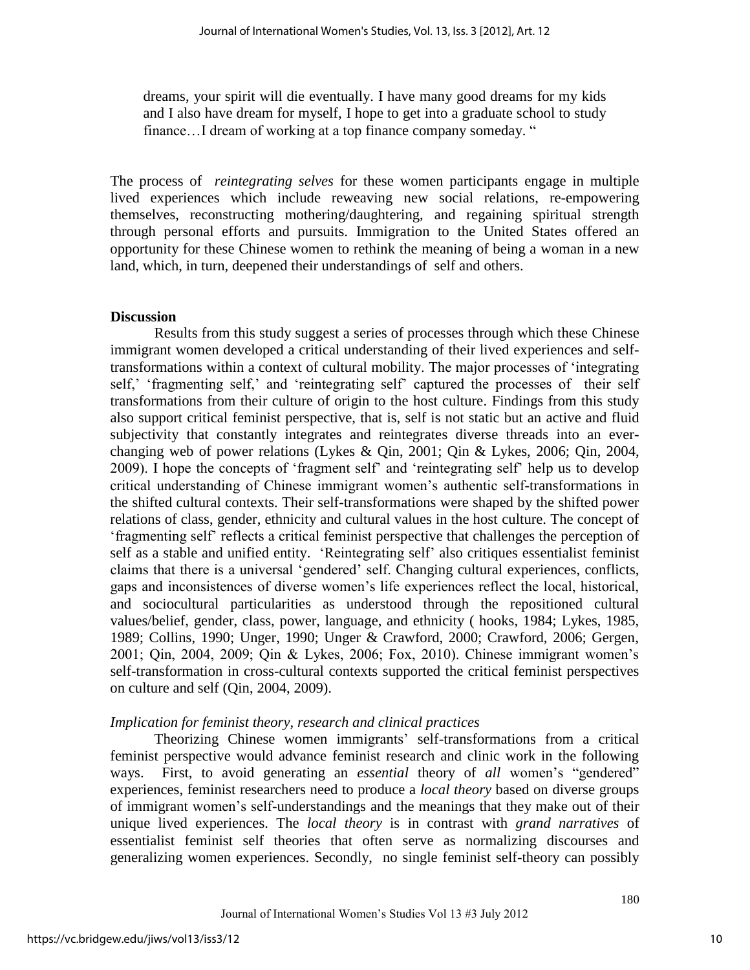dreams, your spirit will die eventually. I have many good dreams for my kids and I also have dream for myself, I hope to get into a graduate school to study finance...I dream of working at a top finance company someday. "

The process of *reintegrating selves* for these women participants engage in multiple lived experiences which include reweaving new social relations, re-empowering themselves, reconstructing mothering/daughtering, and regaining spiritual strength through personal efforts and pursuits. Immigration to the United States offered an opportunity for these Chinese women to rethink the meaning of being a woman in a new land, which, in turn, deepened their understandings of self and others.

## **Discussion**

Results from this study suggest a series of processes through which these Chinese immigrant women developed a critical understanding of their lived experiences and selftransformations within a context of cultural mobility. The major processes of "integrating self,' 'fragmenting self,' and 'reintegrating self' captured the processes of their self transformations from their culture of origin to the host culture. Findings from this study also support critical feminist perspective, that is, self is not static but an active and fluid subjectivity that constantly integrates and reintegrates diverse threads into an everchanging web of power relations (Lykes & Qin, 2001; Qin & Lykes, 2006; Qin, 2004, 2009). I hope the concepts of "fragment self" and "reintegrating self" help us to develop critical understanding of Chinese immigrant women"s authentic self-transformations in the shifted cultural contexts. Their self-transformations were shaped by the shifted power relations of class, gender, ethnicity and cultural values in the host culture. The concept of "fragmenting self" reflects a critical feminist perspective that challenges the perception of self as a stable and unified entity. 'Reintegrating self' also critiques essentialist feminist claims that there is a universal "gendered" self. Changing cultural experiences, conflicts, gaps and inconsistences of diverse women"s life experiences reflect the local, historical, and sociocultural particularities as understood through the repositioned cultural values/belief, gender, class, power, language, and ethnicity ( hooks, 1984; Lykes, 1985, 1989; Collins, 1990; Unger, 1990; Unger & Crawford, 2000; Crawford, 2006; Gergen, 2001; Qin, 2004, 2009; Qin & Lykes, 2006; Fox, 2010). Chinese immigrant women"s self-transformation in cross-cultural contexts supported the critical feminist perspectives on culture and self (Qin, 2004, 2009).

## *Implication for feminist theory, research and clinical practices*

Theorizing Chinese women immigrants" self-transformations from a critical feminist perspective would advance feminist research and clinic work in the following ways. First, to avoid generating an *essential* theory of *all* women"s "gendered" experiences, feminist researchers need to produce a *local theory* based on diverse groups of immigrant women"s self-understandings and the meanings that they make out of their unique lived experiences. The *local theory* is in contrast with *grand narratives* of essentialist feminist self theories that often serve as normalizing discourses and generalizing women experiences. Secondly, no single feminist self-theory can possibly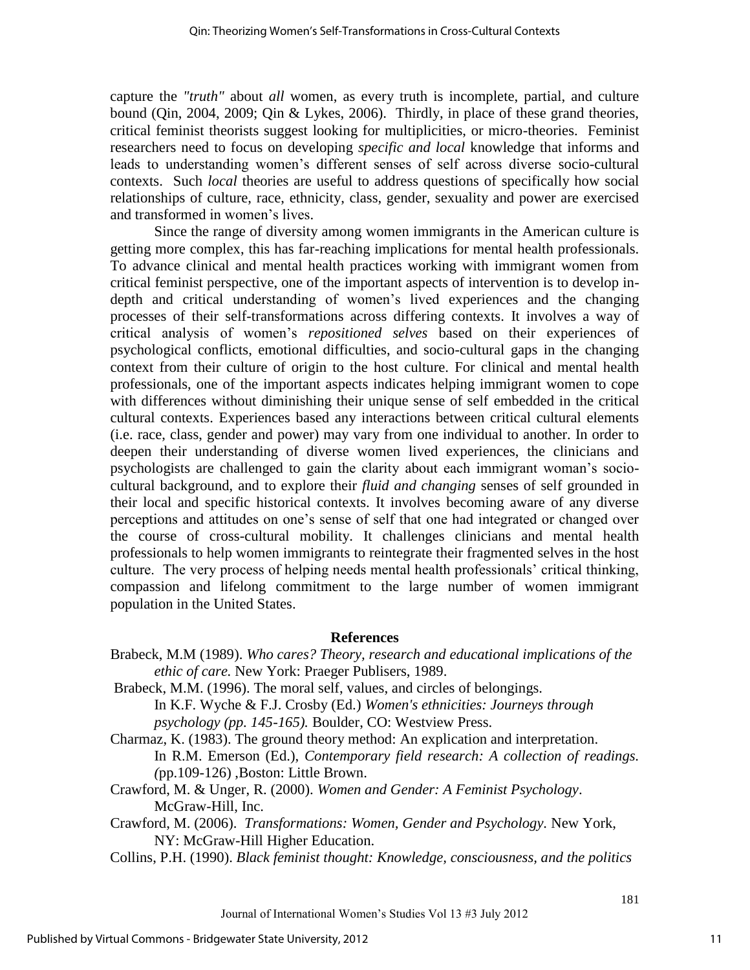capture the *"truth"* about *all* women, as every truth is incomplete, partial, and culture bound (Qin, 2004, 2009; Qin & Lykes, 2006). Thirdly, in place of these grand theories, critical feminist theorists suggest looking for multiplicities, or micro-theories. Feminist researchers need to focus on developing *specific and local* knowledge that informs and leads to understanding women"s different senses of self across diverse socio-cultural contexts. Such *local* theories are useful to address questions of specifically how social relationships of culture, race, ethnicity, class, gender, sexuality and power are exercised and transformed in women"s lives.

Since the range of diversity among women immigrants in the American culture is getting more complex, this has far-reaching implications for mental health professionals. To advance clinical and mental health practices working with immigrant women from critical feminist perspective, one of the important aspects of intervention is to develop indepth and critical understanding of women"s lived experiences and the changing processes of their self-transformations across differing contexts. It involves a way of critical analysis of women"s *repositioned selves* based on their experiences of psychological conflicts, emotional difficulties, and socio-cultural gaps in the changing context from their culture of origin to the host culture. For clinical and mental health professionals, one of the important aspects indicates helping immigrant women to cope with differences without diminishing their unique sense of self embedded in the critical cultural contexts. Experiences based any interactions between critical cultural elements (i.e. race, class, gender and power) may vary from one individual to another. In order to deepen their understanding of diverse women lived experiences, the clinicians and psychologists are challenged to gain the clarity about each immigrant woman"s sociocultural background, and to explore their *fluid and changing* senses of self grounded in their local and specific historical contexts. It involves becoming aware of any diverse perceptions and attitudes on one"s sense of self that one had integrated or changed over the course of cross-cultural mobility. It challenges clinicians and mental health professionals to help women immigrants to reintegrate their fragmented selves in the host culture. The very process of helping needs mental health professionals" critical thinking, compassion and lifelong commitment to the large number of women immigrant population in the United States.

## **References**

- Brabeck, M.M (1989). *Who cares? Theory, research and educational implications of the ethic of care.* New York: Praeger Publisers, 1989.
- Brabeck, M.M. (1996). The moral self, values, and circles of belongings. In K.F. Wyche & F.J. Crosby (Ed.) *Women's ethnicities: Journeys through psychology (pp. 145-165).* Boulder, CO: Westview Press.
- Charmaz, K. (1983). The ground theory method: An explication and interpretation. In R.M. Emerson (Ed.), *Contemporary field research: A collection of readings. (*pp.109-126) ,Boston: Little Brown.
- Crawford, M. & Unger, R. (2000). *Women and Gender: A Feminist Psychology*. McGraw-Hill, Inc.
- Crawford, M. (2006). *Transformations: Women, Gender and Psychology.* New York, NY: McGraw-Hill Higher Education.
- Collins, P.H. (1990). *Black feminist thought: Knowledge, consciousness, and the politics*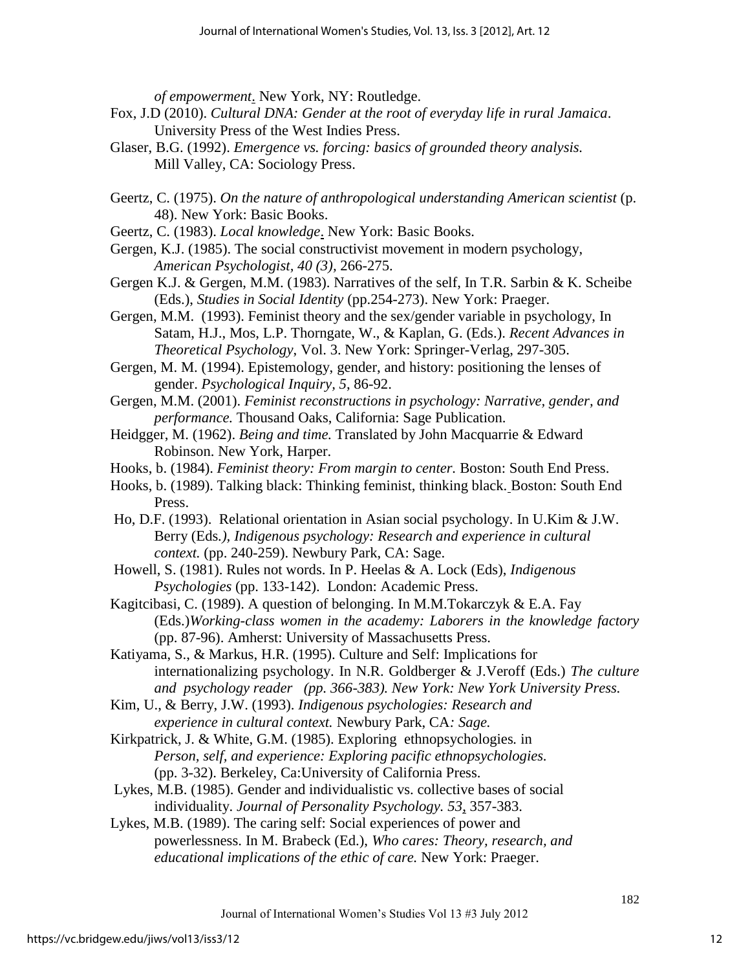*of empowerment*. New York, NY: Routledge.

- Fox, J.D (2010). *Cultural DNA: Gender at the root of everyday life in rural Jamaica*. University Press of the West Indies Press.
- Glaser, B.G. (1992). *Emergence vs. forcing: basics of grounded theory analysis.*  Mill Valley, CA: Sociology Press.
- Geertz, C. (1975). *On the nature of anthropological understanding American scientist* (p. 48). New York: Basic Books.
- Geertz, C. (1983). *Local knowledge*. New York: Basic Books.
- Gergen, K.J. (1985). The social constructivist movement in modern psychology, *American Psychologist, 40 (3),* 266-275.
- Gergen K.J. & Gergen, M.M. (1983). Narratives of the self, In T.R. Sarbin & K. Scheibe (Eds.), *Studies in Social Identity* (pp.254-273). New York: Praeger.
- Gergen, M.M. (1993). Feminist theory and the sex/gender variable in psychology, In Satam, H.J., Mos, L.P. Thorngate, W., & Kaplan, G. (Eds.). *Recent Advances in Theoretical Psychology*, Vol. 3. New York: Springer-Verlag, 297-305.
- Gergen, M. M. (1994). Epistemology, gender, and history: positioning the lenses of gender. *Psychological Inquiry, 5*, 86-92.
- Gergen, M.M. (2001). *Feminist reconstructions in psychology: Narrative, gender, and performance.* Thousand Oaks, California: Sage Publication.
- Heidgger, M. (1962). *Being and time.* Translated by John Macquarrie & Edward Robinson. New York, Harper.
- Hooks, b. (1984). *Feminist theory: From margin to center.* Boston: South End Press.
- Hooks, b. (1989). Talking black: Thinking feminist, thinking black. Boston: South End Press.
- Ho, D.F. (1993). Relational orientation in Asian social psychology. In U.Kim & J.W. Berry (Eds*.), Indigenous psychology: Research and experience in cultural context.* (pp. 240-259). Newbury Park, CA: Sage.
- Howell, S. (1981). Rules not words. In P. Heelas & A. Lock (Eds), *Indigenous Psychologies* (pp. 133-142). London: Academic Press.

Kagitcibasi, C. (1989). A question of belonging. In M.M.Tokarczyk & E.A. Fay (Eds.)*Working-class women in the academy: Laborers in the knowledge factory* (pp. 87-96). Amherst: University of Massachusetts Press.

- Katiyama, S., & Markus, H.R. (1995). Culture and Self: Implications for internationalizing psychology. In N.R. Goldberger & J.Veroff (Eds.) *The culture and psychology reader (pp. 366-383). New York: New York University Press.*
- Kim, U., & Berry, J.W. (1993). *Indigenous psychologies: Research and experience in cultural context.* Newbury Park, CA*: Sage.*
- Kirkpatrick, J. & White, G.M. (1985). Exploring ethnopsychologies*.* in *Person, self, and experience: Exploring pacific ethnopsychologies.*  (pp. 3-32). Berkeley, Ca:University of California Press.
- Lykes, M.B. (1985). Gender and individualistic vs. collective bases of social individuality. *Journal of Personality Psychology. 53*, 357-383.
- Lykes, M.B. (1989). The caring self: Social experiences of power and powerlessness. In M. Brabeck (Ed.), *Who cares: Theory, research, and educational implications of the ethic of care.* New York: Praeger.